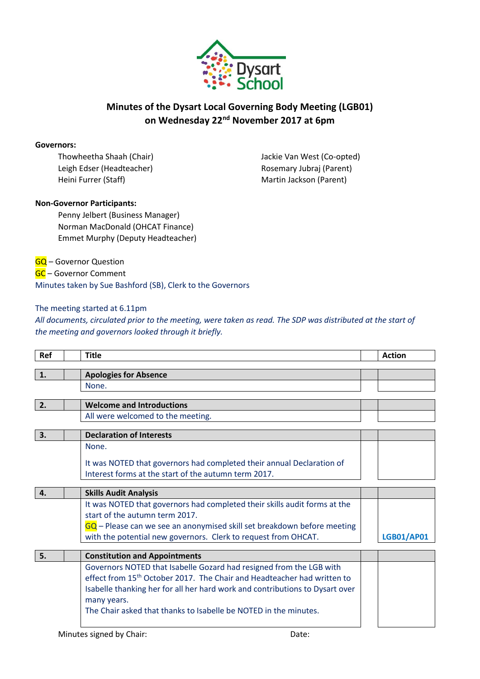

## **Minutes of the Dysart Local Governing Body Meeting (LGB01) on Wednesday 22nd November 2017 at 6pm**

#### **Governors:**

Leigh Edser (Headteacher) and Electric Rosemary Jubraj (Parent) Heini Furrer (Staff) Martin Jackson (Parent)

Thowheetha Shaah (Chair) Jackie Van West (Co-opted)

### **Non-Governor Participants:**

Penny Jelbert (Business Manager) Norman MacDonald (OHCAT Finance) Emmet Murphy (Deputy Headteacher)

**GQ** – Governor Question

GC – Governor Comment Minutes taken by Sue Bashford (SB), Clerk to the Governors

### The meeting started at 6.11pm

*All documents, circulated prior to the meeting, were taken as read. The SDP was distributed at the start of the meeting and governors looked through it briefly.*

| Ref              | <b>Title</b>                                                                        | <b>Action</b>     |
|------------------|-------------------------------------------------------------------------------------|-------------------|
| 1.               | <b>Apologies for Absence</b>                                                        |                   |
|                  | None.                                                                               |                   |
|                  |                                                                                     |                   |
| $\overline{2}$ . | <b>Welcome and Introductions</b>                                                    |                   |
|                  | All were welcomed to the meeting.                                                   |                   |
| 3.               | <b>Declaration of Interests</b>                                                     |                   |
|                  | None.                                                                               |                   |
|                  | It was NOTED that governors had completed their annual Declaration of               |                   |
|                  | Interest forms at the start of the autumn term 2017.                                |                   |
| 4.               |                                                                                     |                   |
|                  | <b>Skills Audit Analysis</b>                                                        |                   |
|                  | It was NOTED that governors had completed their skills audit forms at the           |                   |
|                  | start of the autumn term 2017.                                                      |                   |
|                  | GQ - Please can we see an anonymised skill set breakdown before meeting             |                   |
|                  | with the potential new governors. Clerk to request from OHCAT.                      | <b>LGB01/AP01</b> |
| 5.               | <b>Constitution and Appointments</b>                                                |                   |
|                  | Governors NOTED that Isabelle Gozard had resigned from the LGB with                 |                   |
|                  | effect from 15 <sup>th</sup> October 2017. The Chair and Headteacher had written to |                   |
|                  | Isabelle thanking her for all her hard work and contributions to Dysart over        |                   |
|                  | many years.                                                                         |                   |
|                  | The Chair asked that thanks to Isabelle be NOTED in the minutes.                    |                   |
|                  |                                                                                     |                   |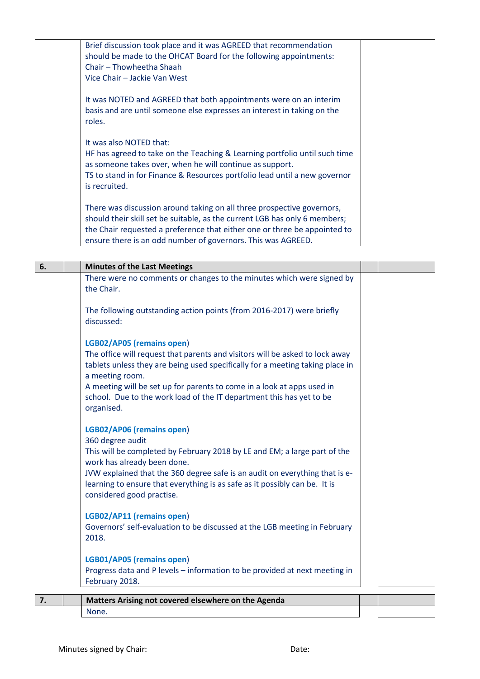| Brief discussion took place and it was AGREED that recommendation<br>should be made to the OHCAT Board for the following appointments:<br>Chair - Thowheetha Shaah<br>Vice Chair - Jackie Van West                                                                                                |  |  |
|---------------------------------------------------------------------------------------------------------------------------------------------------------------------------------------------------------------------------------------------------------------------------------------------------|--|--|
| It was NOTED and AGREED that both appointments were on an interim<br>basis and are until someone else expresses an interest in taking on the<br>roles.                                                                                                                                            |  |  |
| It was also NOTED that:<br>HF has agreed to take on the Teaching & Learning portfolio until such time<br>as someone takes over, when he will continue as support.<br>TS to stand in for Finance & Resources portfolio lead until a new governor<br>is recruited.                                  |  |  |
| There was discussion around taking on all three prospective governors,<br>should their skill set be suitable, as the current LGB has only 6 members;<br>the Chair requested a preference that either one or three be appointed to<br>ensure there is an odd number of governors. This was AGREED. |  |  |

| 6. | <b>Minutes of the Last Meetings</b>                                                                                                                                                                                                                                                                                                                                           |  |
|----|-------------------------------------------------------------------------------------------------------------------------------------------------------------------------------------------------------------------------------------------------------------------------------------------------------------------------------------------------------------------------------|--|
|    | There were no comments or changes to the minutes which were signed by<br>the Chair.                                                                                                                                                                                                                                                                                           |  |
|    | The following outstanding action points (from 2016-2017) were briefly<br>discussed:                                                                                                                                                                                                                                                                                           |  |
|    | LGB02/AP05 (remains open)<br>The office will request that parents and visitors will be asked to lock away<br>tablets unless they are being used specifically for a meeting taking place in<br>a meeting room.<br>A meeting will be set up for parents to come in a look at apps used in<br>school. Due to the work load of the IT department this has yet to be<br>organised. |  |
|    | LGB02/AP06 (remains open)<br>360 degree audit<br>This will be completed by February 2018 by LE and EM; a large part of the<br>work has already been done.<br>JVW explained that the 360 degree safe is an audit on everything that is e-<br>learning to ensure that everything is as safe as it possibly can be. It is<br>considered good practise.                           |  |
|    | LGB02/AP11 (remains open)<br>Governors' self-evaluation to be discussed at the LGB meeting in February<br>2018.                                                                                                                                                                                                                                                               |  |
|    | LGB01/AP05 (remains open)<br>Progress data and P levels - information to be provided at next meeting in<br>February 2018.                                                                                                                                                                                                                                                     |  |
| 7. | Matters Arising not covered elsewhere on the Agenda                                                                                                                                                                                                                                                                                                                           |  |

None.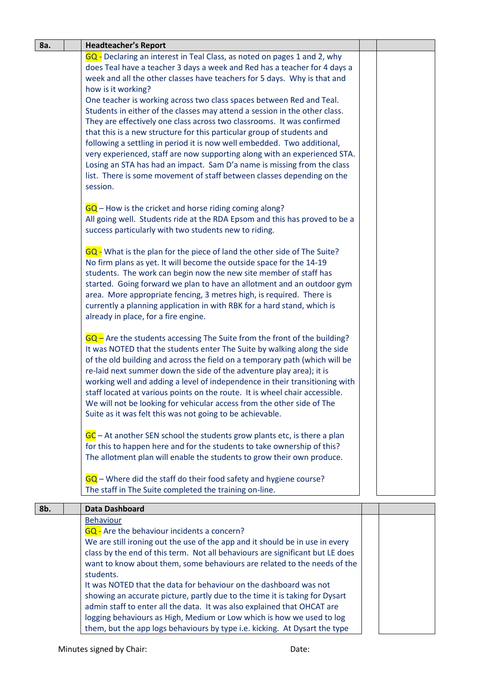| 8a. | <b>Headteacher's Report</b>                                                                                                                                                                                                                                                                                                                                                                                                                                                                                                                                                                                                                                                                                                                                                                                                                                                                |  |
|-----|--------------------------------------------------------------------------------------------------------------------------------------------------------------------------------------------------------------------------------------------------------------------------------------------------------------------------------------------------------------------------------------------------------------------------------------------------------------------------------------------------------------------------------------------------------------------------------------------------------------------------------------------------------------------------------------------------------------------------------------------------------------------------------------------------------------------------------------------------------------------------------------------|--|
|     | GQ - Declaring an interest in Teal Class, as noted on pages 1 and 2, why<br>does Teal have a teacher 3 days a week and Red has a teacher for 4 days a<br>week and all the other classes have teachers for 5 days. Why is that and<br>how is it working?<br>One teacher is working across two class spaces between Red and Teal.<br>Students in either of the classes may attend a session in the other class.<br>They are effectively one class across two classrooms. It was confirmed<br>that this is a new structure for this particular group of students and<br>following a settling in period it is now well embedded. Two additional,<br>very experienced, staff are now supporting along with an experienced STA.<br>Losing an STA has had an impact. Sam D'a name is missing from the class<br>list. There is some movement of staff between classes depending on the<br>session. |  |
|     | $GQ$ – How is the cricket and horse riding coming along?<br>All going well. Students ride at the RDA Epsom and this has proved to be a<br>success particularly with two students new to riding.                                                                                                                                                                                                                                                                                                                                                                                                                                                                                                                                                                                                                                                                                            |  |
|     | GQ - What is the plan for the piece of land the other side of The Suite?<br>No firm plans as yet. It will become the outside space for the 14-19<br>students. The work can begin now the new site member of staff has<br>started. Going forward we plan to have an allotment and an outdoor gym<br>area. More appropriate fencing, 3 metres high, is required. There is<br>currently a planning application in with RBK for a hard stand, which is<br>already in place, for a fire engine.                                                                                                                                                                                                                                                                                                                                                                                                 |  |
|     | $GQ$ – Are the students accessing The Suite from the front of the building?<br>It was NOTED that the students enter The Suite by walking along the side<br>of the old building and across the field on a temporary path (which will be<br>re-laid next summer down the side of the adventure play area); it is<br>working well and adding a level of independence in their transitioning with<br>staff located at various points on the route. It is wheel chair accessible.<br>We will not be looking for vehicular access from the other side of The<br>Suite as it was felt this was not going to be achievable.                                                                                                                                                                                                                                                                        |  |
|     | GC - At another SEN school the students grow plants etc, is there a plan<br>for this to happen here and for the students to take ownership of this?<br>The allotment plan will enable the students to grow their own produce.<br>$GQ$ – Where did the staff do their food safety and hygiene course?                                                                                                                                                                                                                                                                                                                                                                                                                                                                                                                                                                                       |  |
|     | The staff in The Suite completed the training on-line.                                                                                                                                                                                                                                                                                                                                                                                                                                                                                                                                                                                                                                                                                                                                                                                                                                     |  |
| 8b. | <b>Data Dashboard</b>                                                                                                                                                                                                                                                                                                                                                                                                                                                                                                                                                                                                                                                                                                                                                                                                                                                                      |  |
|     | <b>Behaviour</b>                                                                                                                                                                                                                                                                                                                                                                                                                                                                                                                                                                                                                                                                                                                                                                                                                                                                           |  |
|     | <b>GQ</b> - Are the behaviour incidents a concern?<br>We are still ironing out the use of the app and it should be in use in every<br>class by the end of this term. Not all behaviours are significant but LE does<br>want to know about them, some behaviours are related to the needs of the<br>students.                                                                                                                                                                                                                                                                                                                                                                                                                                                                                                                                                                               |  |
|     | It was NOTED that the data for behaviour on the dashboard was not<br>showing an accurate picture, partly due to the time it is taking for Dysart<br>admin staff to enter all the data. It was also explained that OHCAT are<br>logging behaviours as High, Medium or Low which is how we used to log<br>them, but the app logs behaviours by type i.e. kicking. At Dysart the type                                                                                                                                                                                                                                                                                                                                                                                                                                                                                                         |  |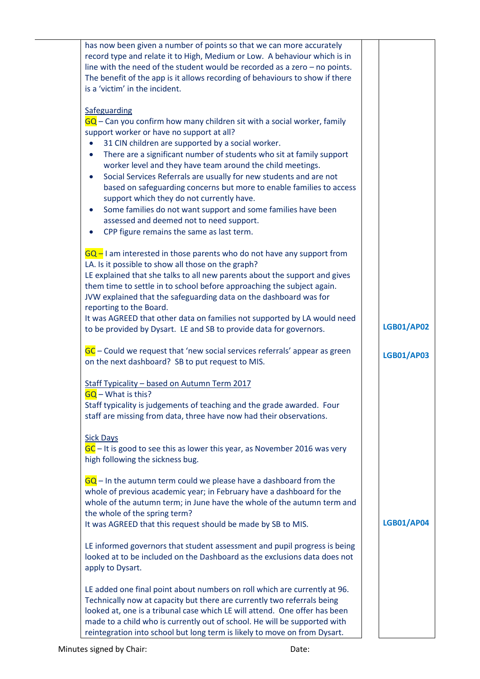| has now been given a number of points so that we can more accurately<br>record type and relate it to High, Medium or Low. A behaviour which is in<br>line with the need of the student would be recorded as a zero $-$ no points.<br>The benefit of the app is it allows recording of behaviours to show if there<br>is a 'victim' in the incident.                                                                                                                                                                                                                                                                                                                                                                           |                   |
|-------------------------------------------------------------------------------------------------------------------------------------------------------------------------------------------------------------------------------------------------------------------------------------------------------------------------------------------------------------------------------------------------------------------------------------------------------------------------------------------------------------------------------------------------------------------------------------------------------------------------------------------------------------------------------------------------------------------------------|-------------------|
| Safeguarding<br>$GQ$ – Can you confirm how many children sit with a social worker, family<br>support worker or have no support at all?<br>31 CIN children are supported by a social worker.<br>There are a significant number of students who sit at family support<br>$\bullet$<br>worker level and they have team around the child meetings.<br>Social Services Referrals are usually for new students and are not<br>$\bullet$<br>based on safeguarding concerns but more to enable families to access<br>support which they do not currently have.<br>Some families do not want support and some families have been<br>$\bullet$<br>assessed and deemed not to need support.<br>CPP figure remains the same as last term. |                   |
| $GQ - I$ am interested in those parents who do not have any support from<br>LA. Is it possible to show all those on the graph?<br>LE explained that she talks to all new parents about the support and gives<br>them time to settle in to school before approaching the subject again.<br>JVW explained that the safeguarding data on the dashboard was for<br>reporting to the Board.<br>It was AGREED that other data on families not supported by LA would need<br>to be provided by Dysart. LE and SB to provide data for governors.                                                                                                                                                                                      | <b>LGB01/AP02</b> |
| GC – Could we request that 'new social services referrals' appear as green<br>on the next dashboard? SB to put request to MIS.                                                                                                                                                                                                                                                                                                                                                                                                                                                                                                                                                                                                | <b>LGB01/AP03</b> |
| Staff Typicality - based on Autumn Term 2017<br>$GQ - What$ is this?<br>Staff typicality is judgements of teaching and the grade awarded. Four<br>staff are missing from data, three have now had their observations.<br><b>Sick Days</b>                                                                                                                                                                                                                                                                                                                                                                                                                                                                                     |                   |
| $GC$ – It is good to see this as lower this year, as November 2016 was very<br>high following the sickness bug.                                                                                                                                                                                                                                                                                                                                                                                                                                                                                                                                                                                                               |                   |
| $GQ$ – In the autumn term could we please have a dashboard from the<br>whole of previous academic year; in February have a dashboard for the<br>whole of the autumn term; in June have the whole of the autumn term and<br>the whole of the spring term?<br>It was AGREED that this request should be made by SB to MIS.                                                                                                                                                                                                                                                                                                                                                                                                      | <b>LGB01/AP04</b> |
| LE informed governors that student assessment and pupil progress is being<br>looked at to be included on the Dashboard as the exclusions data does not<br>apply to Dysart.                                                                                                                                                                                                                                                                                                                                                                                                                                                                                                                                                    |                   |
| LE added one final point about numbers on roll which are currently at 96.<br>Technically now at capacity but there are currently two referrals being<br>looked at, one is a tribunal case which LE will attend. One offer has been<br>made to a child who is currently out of school. He will be supported with<br>reintegration into school but long term is likely to move on from Dysart.                                                                                                                                                                                                                                                                                                                                  |                   |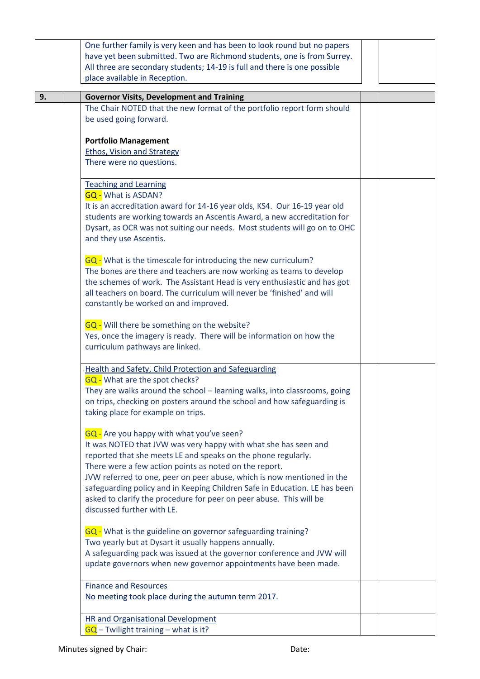|    | One further family is very keen and has been to look round but no papers   |  |  |
|----|----------------------------------------------------------------------------|--|--|
|    | have yet been submitted. Two are Richmond students, one is from Surrey.    |  |  |
|    | All three are secondary students; 14-19 is full and there is one possible  |  |  |
|    | place available in Reception.                                              |  |  |
|    |                                                                            |  |  |
| 9. | <b>Governor Visits, Development and Training</b>                           |  |  |
|    | The Chair NOTED that the new format of the portfolio report form should    |  |  |
|    | be used going forward.                                                     |  |  |
|    |                                                                            |  |  |
|    | <b>Portfolio Management</b>                                                |  |  |
|    | <b>Ethos, Vision and Strategy</b>                                          |  |  |
|    | There were no questions.                                                   |  |  |
|    |                                                                            |  |  |
|    | <b>Teaching and Learning</b>                                               |  |  |
|    | <b>GQ - What is ASDAN?</b>                                                 |  |  |
|    | It is an accreditation award for 14-16 year olds, KS4. Our 16-19 year old  |  |  |
|    | students are working towards an Ascentis Award, a new accreditation for    |  |  |
|    | Dysart, as OCR was not suiting our needs. Most students will go on to OHC  |  |  |
|    | and they use Ascentis.                                                     |  |  |
|    |                                                                            |  |  |
|    | GQ - What is the timescale for introducing the new curriculum?             |  |  |
|    | The bones are there and teachers are now working as teams to develop       |  |  |
|    | the schemes of work. The Assistant Head is very enthusiastic and has got   |  |  |
|    | all teachers on board. The curriculum will never be 'finished' and will    |  |  |
|    | constantly be worked on and improved.                                      |  |  |
|    |                                                                            |  |  |
|    | GQ - Will there be something on the website?                               |  |  |
|    | Yes, once the imagery is ready. There will be information on how the       |  |  |
|    | curriculum pathways are linked.                                            |  |  |
|    |                                                                            |  |  |
|    | <b>Health and Safety, Child Protection and Safeguarding</b>                |  |  |
|    | <b>GQ</b> - What are the spot checks?                                      |  |  |
|    | They are walks around the school - learning walks, into classrooms, going  |  |  |
|    | on trips, checking on posters around the school and how safeguarding is    |  |  |
|    | taking place for example on trips.                                         |  |  |
|    |                                                                            |  |  |
|    | GQ - Are you happy with what you've seen?                                  |  |  |
|    | It was NOTED that JVW was very happy with what she has seen and            |  |  |
|    | reported that she meets LE and speaks on the phone regularly.              |  |  |
|    | There were a few action points as noted on the report.                     |  |  |
|    | JVW referred to one, peer on peer abuse, which is now mentioned in the     |  |  |
|    | safeguarding policy and in Keeping Children Safe in Education. LE has been |  |  |
|    | asked to clarify the procedure for peer on peer abuse. This will be        |  |  |
|    | discussed further with LE.                                                 |  |  |
|    |                                                                            |  |  |
|    | GQ - What is the guideline on governor safeguarding training?              |  |  |
|    | Two yearly but at Dysart it usually happens annually.                      |  |  |
|    | A safeguarding pack was issued at the governor conference and JVW will     |  |  |
|    | update governors when new governor appointments have been made.            |  |  |
|    |                                                                            |  |  |
|    | <b>Finance and Resources</b>                                               |  |  |
|    | No meeting took place during the autumn term 2017.                         |  |  |
|    |                                                                            |  |  |
|    | <b>HR and Organisational Development</b>                                   |  |  |
|    | $\overline{GQ}$ – Twilight training – what is it?                          |  |  |
|    |                                                                            |  |  |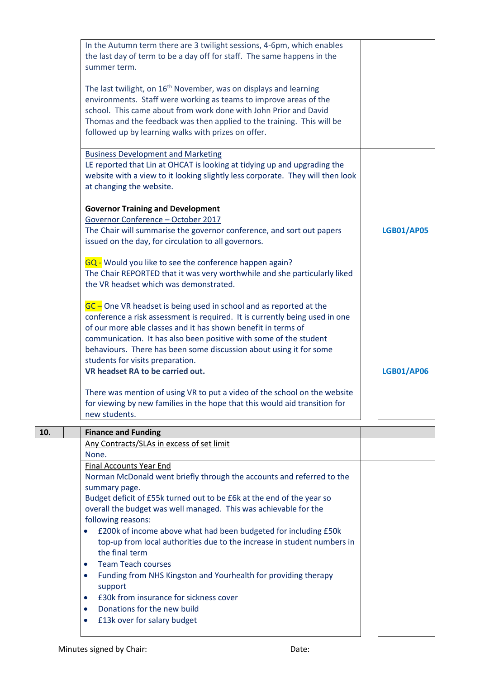| summer term.<br>The last twilight, on 16 <sup>th</sup> November, was on displays and learning<br>environments. Staff were working as teams to improve areas of the<br>school. This came about from work done with John Prior and David<br>Thomas and the feedback was then applied to the training. This will be<br>followed up by learning walks with prizes on offer.<br><b>Business Development and Marketing</b><br>LE reported that Lin at OHCAT is looking at tidying up and upgrading the<br>website with a view to it looking slightly less corporate. They will then look<br>at changing the website.<br><b>Governor Training and Development</b><br>Governor Conference - October 2017<br>The Chair will summarise the governor conference, and sort out papers<br><b>LGB01/AP05</b><br>issued on the day, for circulation to all governors.<br>GQ - Would you like to see the conference happen again?<br>The Chair REPORTED that it was very worthwhile and she particularly liked<br>the VR headset which was demonstrated.<br>$GC$ – One VR headset is being used in school and as reported at the<br>conference a risk assessment is required. It is currently being used in one<br>of our more able classes and it has shown benefit in terms of<br>communication. It has also been positive with some of the student<br>behaviours. There has been some discussion about using it for some<br>students for visits preparation.<br>VR headset RA to be carried out.<br><b>LGB01/AP06</b><br>There was mention of using VR to put a video of the school on the website<br>for viewing by new families in the hope that this would aid transition for<br>new students.<br>10.<br><b>Finance and Funding</b><br>Any Contracts/SLAs in excess of set limit<br>None.<br><b>Final Accounts Year End</b><br>Norman McDonald went briefly through the accounts and referred to the<br>summary page.<br>Budget deficit of £55k turned out to be £6k at the end of the year so<br>overall the budget was well managed. This was achievable for the<br>following reasons:<br>£200k of income above what had been budgeted for including £50k<br>$\bullet$<br>top-up from local authorities due to the increase in student numbers in<br>the final term<br><b>Team Teach courses</b><br>$\bullet$<br>Funding from NHS Kingston and Yourhealth for providing therapy<br>$\bullet$<br>support<br>£30k from insurance for sickness cover<br>$\bullet$<br>Donations for the new build<br>$\bullet$<br>£13k over for salary budget<br>$\bullet$ | In the Autumn term there are 3 twilight sessions, 4-6pm, which enables<br>the last day of term to be a day off for staff. The same happens in the |  |
|------------------------------------------------------------------------------------------------------------------------------------------------------------------------------------------------------------------------------------------------------------------------------------------------------------------------------------------------------------------------------------------------------------------------------------------------------------------------------------------------------------------------------------------------------------------------------------------------------------------------------------------------------------------------------------------------------------------------------------------------------------------------------------------------------------------------------------------------------------------------------------------------------------------------------------------------------------------------------------------------------------------------------------------------------------------------------------------------------------------------------------------------------------------------------------------------------------------------------------------------------------------------------------------------------------------------------------------------------------------------------------------------------------------------------------------------------------------------------------------------------------------------------------------------------------------------------------------------------------------------------------------------------------------------------------------------------------------------------------------------------------------------------------------------------------------------------------------------------------------------------------------------------------------------------------------------------------------------------------------------------------------------------------------------------------------------------------------------------------------------------------------------------------------------------------------------------------------------------------------------------------------------------------------------------------------------------------------------------------------------------------------------------------------------------------------------------------------------------------------------------------------------------------------------|---------------------------------------------------------------------------------------------------------------------------------------------------|--|
|                                                                                                                                                                                                                                                                                                                                                                                                                                                                                                                                                                                                                                                                                                                                                                                                                                                                                                                                                                                                                                                                                                                                                                                                                                                                                                                                                                                                                                                                                                                                                                                                                                                                                                                                                                                                                                                                                                                                                                                                                                                                                                                                                                                                                                                                                                                                                                                                                                                                                                                                                |                                                                                                                                                   |  |
|                                                                                                                                                                                                                                                                                                                                                                                                                                                                                                                                                                                                                                                                                                                                                                                                                                                                                                                                                                                                                                                                                                                                                                                                                                                                                                                                                                                                                                                                                                                                                                                                                                                                                                                                                                                                                                                                                                                                                                                                                                                                                                                                                                                                                                                                                                                                                                                                                                                                                                                                                |                                                                                                                                                   |  |
|                                                                                                                                                                                                                                                                                                                                                                                                                                                                                                                                                                                                                                                                                                                                                                                                                                                                                                                                                                                                                                                                                                                                                                                                                                                                                                                                                                                                                                                                                                                                                                                                                                                                                                                                                                                                                                                                                                                                                                                                                                                                                                                                                                                                                                                                                                                                                                                                                                                                                                                                                |                                                                                                                                                   |  |
|                                                                                                                                                                                                                                                                                                                                                                                                                                                                                                                                                                                                                                                                                                                                                                                                                                                                                                                                                                                                                                                                                                                                                                                                                                                                                                                                                                                                                                                                                                                                                                                                                                                                                                                                                                                                                                                                                                                                                                                                                                                                                                                                                                                                                                                                                                                                                                                                                                                                                                                                                |                                                                                                                                                   |  |
|                                                                                                                                                                                                                                                                                                                                                                                                                                                                                                                                                                                                                                                                                                                                                                                                                                                                                                                                                                                                                                                                                                                                                                                                                                                                                                                                                                                                                                                                                                                                                                                                                                                                                                                                                                                                                                                                                                                                                                                                                                                                                                                                                                                                                                                                                                                                                                                                                                                                                                                                                |                                                                                                                                                   |  |
|                                                                                                                                                                                                                                                                                                                                                                                                                                                                                                                                                                                                                                                                                                                                                                                                                                                                                                                                                                                                                                                                                                                                                                                                                                                                                                                                                                                                                                                                                                                                                                                                                                                                                                                                                                                                                                                                                                                                                                                                                                                                                                                                                                                                                                                                                                                                                                                                                                                                                                                                                |                                                                                                                                                   |  |
|                                                                                                                                                                                                                                                                                                                                                                                                                                                                                                                                                                                                                                                                                                                                                                                                                                                                                                                                                                                                                                                                                                                                                                                                                                                                                                                                                                                                                                                                                                                                                                                                                                                                                                                                                                                                                                                                                                                                                                                                                                                                                                                                                                                                                                                                                                                                                                                                                                                                                                                                                |                                                                                                                                                   |  |
|                                                                                                                                                                                                                                                                                                                                                                                                                                                                                                                                                                                                                                                                                                                                                                                                                                                                                                                                                                                                                                                                                                                                                                                                                                                                                                                                                                                                                                                                                                                                                                                                                                                                                                                                                                                                                                                                                                                                                                                                                                                                                                                                                                                                                                                                                                                                                                                                                                                                                                                                                |                                                                                                                                                   |  |
|                                                                                                                                                                                                                                                                                                                                                                                                                                                                                                                                                                                                                                                                                                                                                                                                                                                                                                                                                                                                                                                                                                                                                                                                                                                                                                                                                                                                                                                                                                                                                                                                                                                                                                                                                                                                                                                                                                                                                                                                                                                                                                                                                                                                                                                                                                                                                                                                                                                                                                                                                |                                                                                                                                                   |  |
|                                                                                                                                                                                                                                                                                                                                                                                                                                                                                                                                                                                                                                                                                                                                                                                                                                                                                                                                                                                                                                                                                                                                                                                                                                                                                                                                                                                                                                                                                                                                                                                                                                                                                                                                                                                                                                                                                                                                                                                                                                                                                                                                                                                                                                                                                                                                                                                                                                                                                                                                                |                                                                                                                                                   |  |
|                                                                                                                                                                                                                                                                                                                                                                                                                                                                                                                                                                                                                                                                                                                                                                                                                                                                                                                                                                                                                                                                                                                                                                                                                                                                                                                                                                                                                                                                                                                                                                                                                                                                                                                                                                                                                                                                                                                                                                                                                                                                                                                                                                                                                                                                                                                                                                                                                                                                                                                                                |                                                                                                                                                   |  |
|                                                                                                                                                                                                                                                                                                                                                                                                                                                                                                                                                                                                                                                                                                                                                                                                                                                                                                                                                                                                                                                                                                                                                                                                                                                                                                                                                                                                                                                                                                                                                                                                                                                                                                                                                                                                                                                                                                                                                                                                                                                                                                                                                                                                                                                                                                                                                                                                                                                                                                                                                |                                                                                                                                                   |  |
|                                                                                                                                                                                                                                                                                                                                                                                                                                                                                                                                                                                                                                                                                                                                                                                                                                                                                                                                                                                                                                                                                                                                                                                                                                                                                                                                                                                                                                                                                                                                                                                                                                                                                                                                                                                                                                                                                                                                                                                                                                                                                                                                                                                                                                                                                                                                                                                                                                                                                                                                                |                                                                                                                                                   |  |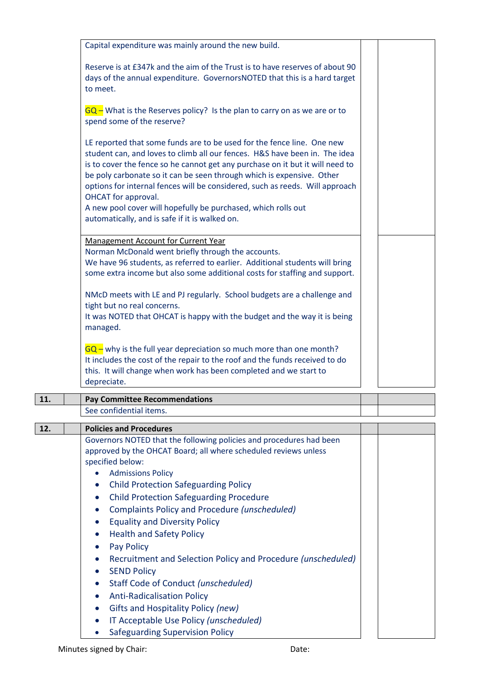|     | Capital expenditure was mainly around the new build.                                                                                                   |  |  |
|-----|--------------------------------------------------------------------------------------------------------------------------------------------------------|--|--|
|     | Reserve is at £347k and the aim of the Trust is to have reserves of about 90                                                                           |  |  |
|     | days of the annual expenditure. GovernorsNOTED that this is a hard target                                                                              |  |  |
|     | to meet.                                                                                                                                               |  |  |
|     |                                                                                                                                                        |  |  |
|     | $GQ$ – What is the Reserves policy? Is the plan to carry on as we are or to<br>spend some of the reserve?                                              |  |  |
|     |                                                                                                                                                        |  |  |
|     | LE reported that some funds are to be used for the fence line. One new                                                                                 |  |  |
|     | student can, and loves to climb all our fences. H&S have been in. The idea                                                                             |  |  |
|     | is to cover the fence so he cannot get any purchase on it but it will need to<br>be poly carbonate so it can be seen through which is expensive. Other |  |  |
|     | options for internal fences will be considered, such as reeds. Will approach                                                                           |  |  |
|     | OHCAT for approval.                                                                                                                                    |  |  |
|     | A new pool cover will hopefully be purchased, which rolls out                                                                                          |  |  |
|     | automatically, and is safe if it is walked on.                                                                                                         |  |  |
|     | <b>Management Account for Current Year</b>                                                                                                             |  |  |
|     | Norman McDonald went briefly through the accounts.                                                                                                     |  |  |
|     | We have 96 students, as referred to earlier. Additional students will bring                                                                            |  |  |
|     | some extra income but also some additional costs for staffing and support.                                                                             |  |  |
|     | NMcD meets with LE and PJ regularly. School budgets are a challenge and                                                                                |  |  |
|     | tight but no real concerns.                                                                                                                            |  |  |
|     | It was NOTED that OHCAT is happy with the budget and the way it is being                                                                               |  |  |
|     | managed.                                                                                                                                               |  |  |
|     | $GQ$ – why is the full year depreciation so much more than one month?                                                                                  |  |  |
|     | It includes the cost of the repair to the roof and the funds received to do                                                                            |  |  |
|     | this. It will change when work has been completed and we start to                                                                                      |  |  |
|     | depreciate.                                                                                                                                            |  |  |
| 11. | <b>Pay Committee Recommendations</b>                                                                                                                   |  |  |
|     | See confidential items.                                                                                                                                |  |  |
| 12. | <b>Policies and Procedures</b>                                                                                                                         |  |  |
|     | Governors NOTED that the following policies and procedures had been                                                                                    |  |  |
|     | approved by the OHCAT Board; all where scheduled reviews unless<br>specified below:                                                                    |  |  |
|     | <b>Admissions Policy</b>                                                                                                                               |  |  |
|     | <b>Child Protection Safeguarding Policy</b>                                                                                                            |  |  |
|     | <b>Child Protection Safeguarding Procedure</b><br>$\bullet$                                                                                            |  |  |
|     | <b>Complaints Policy and Procedure (unscheduled)</b><br>$\bullet$                                                                                      |  |  |
|     | <b>Equality and Diversity Policy</b><br>$\bullet$                                                                                                      |  |  |
|     | <b>Health and Safety Policy</b>                                                                                                                        |  |  |
|     | <b>Pay Policy</b>                                                                                                                                      |  |  |
|     | Recruitment and Selection Policy and Procedure (unscheduled)<br>$\bullet$                                                                              |  |  |
|     | <b>SEND Policy</b><br>$\bullet$                                                                                                                        |  |  |
|     | Staff Code of Conduct (unscheduled)<br>$\bullet$                                                                                                       |  |  |
|     | <b>Anti-Radicalisation Policy</b>                                                                                                                      |  |  |
|     | Gifts and Hospitality Policy (new)                                                                                                                     |  |  |
|     | IT Acceptable Use Policy (unscheduled)<br>$\bullet$<br><b>Safeguarding Supervision Policy</b><br>$\bullet$                                             |  |  |
|     |                                                                                                                                                        |  |  |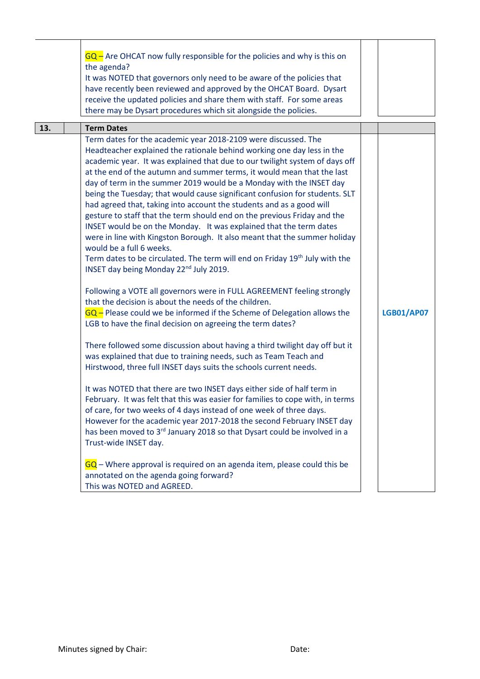|     | $GQ$ – Are OHCAT now fully responsible for the policies and why is this on<br>the agenda?<br>It was NOTED that governors only need to be aware of the policies that<br>have recently been reviewed and approved by the OHCAT Board. Dysart<br>receive the updated policies and share them with staff. For some areas<br>there may be Dysart procedures which sit alongside the policies.                                                                                                                                                                                                                                                                                                                                                                                                                                                                                                                                                                                                                                                                                                                                                                                                                                                                                                                                                                                                                                                                                                                                                                                                                                                                                                                                                                                                                                                                                                                                                                                                                                          |                   |
|-----|-----------------------------------------------------------------------------------------------------------------------------------------------------------------------------------------------------------------------------------------------------------------------------------------------------------------------------------------------------------------------------------------------------------------------------------------------------------------------------------------------------------------------------------------------------------------------------------------------------------------------------------------------------------------------------------------------------------------------------------------------------------------------------------------------------------------------------------------------------------------------------------------------------------------------------------------------------------------------------------------------------------------------------------------------------------------------------------------------------------------------------------------------------------------------------------------------------------------------------------------------------------------------------------------------------------------------------------------------------------------------------------------------------------------------------------------------------------------------------------------------------------------------------------------------------------------------------------------------------------------------------------------------------------------------------------------------------------------------------------------------------------------------------------------------------------------------------------------------------------------------------------------------------------------------------------------------------------------------------------------------------------------------------------|-------------------|
| 13. | <b>Term Dates</b>                                                                                                                                                                                                                                                                                                                                                                                                                                                                                                                                                                                                                                                                                                                                                                                                                                                                                                                                                                                                                                                                                                                                                                                                                                                                                                                                                                                                                                                                                                                                                                                                                                                                                                                                                                                                                                                                                                                                                                                                                 |                   |
|     | Term dates for the academic year 2018-2109 were discussed. The<br>Headteacher explained the rationale behind working one day less in the<br>academic year. It was explained that due to our twilight system of days off<br>at the end of the autumn and summer terms, it would mean that the last<br>day of term in the summer 2019 would be a Monday with the INSET day<br>being the Tuesday; that would cause significant confusion for students. SLT<br>had agreed that, taking into account the students and as a good will<br>gesture to staff that the term should end on the previous Friday and the<br>INSET would be on the Monday. It was explained that the term dates<br>were in line with Kingston Borough. It also meant that the summer holiday<br>would be a full 6 weeks.<br>Term dates to be circulated. The term will end on Friday 19 <sup>th</sup> July with the<br>INSET day being Monday 22 <sup>nd</sup> July 2019.<br>Following a VOTE all governors were in FULL AGREEMENT feeling strongly<br>that the decision is about the needs of the children.<br>$GQ$ – Please could we be informed if the Scheme of Delegation allows the<br>LGB to have the final decision on agreeing the term dates?<br>There followed some discussion about having a third twilight day off but it<br>was explained that due to training needs, such as Team Teach and<br>Hirstwood, three full INSET days suits the schools current needs.<br>It was NOTED that there are two INSET days either side of half term in<br>February. It was felt that this was easier for families to cope with, in terms<br>of care, for two weeks of 4 days instead of one week of three days.<br>However for the academic year 2017-2018 the second February INSET day<br>has been moved to 3 <sup>rd</sup> January 2018 so that Dysart could be involved in a<br>Trust-wide INSET day.<br>GQ - Where approval is required on an agenda item, please could this be<br>annotated on the agenda going forward?<br>This was NOTED and AGREED. | <b>LGB01/AP07</b> |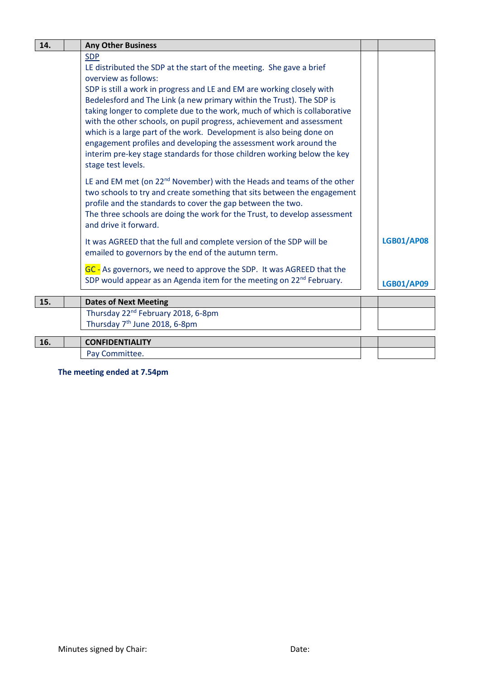| 14. | <b>Any Other Business</b>                                                                                                                                                                                                                                                                                                                                                                                                                                                                                                                                                                                                                                          |                                        |
|-----|--------------------------------------------------------------------------------------------------------------------------------------------------------------------------------------------------------------------------------------------------------------------------------------------------------------------------------------------------------------------------------------------------------------------------------------------------------------------------------------------------------------------------------------------------------------------------------------------------------------------------------------------------------------------|----------------------------------------|
|     | <b>SDP</b><br>LE distributed the SDP at the start of the meeting. She gave a brief<br>overview as follows:<br>SDP is still a work in progress and LE and EM are working closely with<br>Bedelesford and The Link (a new primary within the Trust). The SDP is<br>taking longer to complete due to the work, much of which is collaborative<br>with the other schools, on pupil progress, achievement and assessment<br>which is a large part of the work. Development is also being done on<br>engagement profiles and developing the assessment work around the<br>interim pre-key stage standards for those children working below the key<br>stage test levels. |                                        |
|     | LE and EM met (on 22 <sup>nd</sup> November) with the Heads and teams of the other<br>two schools to try and create something that sits between the engagement<br>profile and the standards to cover the gap between the two.<br>The three schools are doing the work for the Trust, to develop assessment<br>and drive it forward.                                                                                                                                                                                                                                                                                                                                |                                        |
|     | It was AGREED that the full and complete version of the SDP will be<br>emailed to governors by the end of the autumn term.<br>GC - As governors, we need to approve the SDP. It was AGREED that the<br>SDP would appear as an Agenda item for the meeting on 22 <sup>nd</sup> February.                                                                                                                                                                                                                                                                                                                                                                            | <b>LGB01/AP08</b><br><b>LGB01/AP09</b> |
|     |                                                                                                                                                                                                                                                                                                                                                                                                                                                                                                                                                                                                                                                                    |                                        |
| 15. | <b>Dates of Next Meeting</b>                                                                                                                                                                                                                                                                                                                                                                                                                                                                                                                                                                                                                                       |                                        |
|     | Thursday 22 <sup>nd</sup> February 2018, 6-8pm<br>Thursday 7 <sup>th</sup> June 2018, 6-8pm                                                                                                                                                                                                                                                                                                                                                                                                                                                                                                                                                                        |                                        |
| 16. | <b>CONFIDENTIALITY</b>                                                                                                                                                                                                                                                                                                                                                                                                                                                                                                                                                                                                                                             |                                        |
|     | Pay Committee.                                                                                                                                                                                                                                                                                                                                                                                                                                                                                                                                                                                                                                                     |                                        |

**The meeting ended at 7.54pm**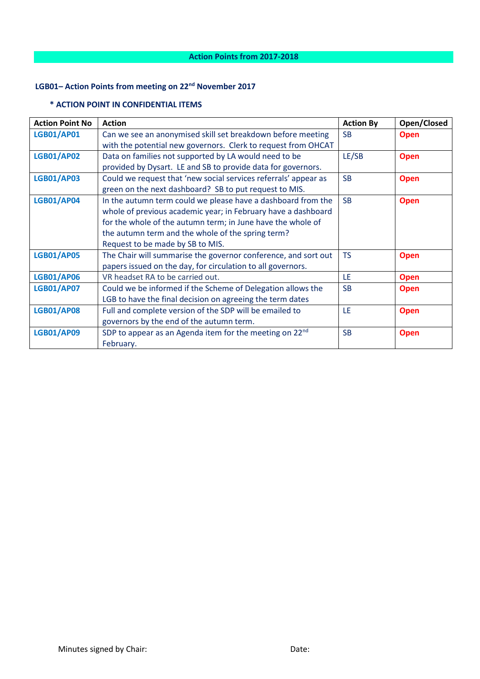# **LGB01– Action Points from meeting on 22nd November 2017**

### **\* ACTION POINT IN CONFIDENTIAL ITEMS**

| <b>Action Point No</b> | <b>Action</b>                                                       | <b>Action By</b> | Open/Closed |
|------------------------|---------------------------------------------------------------------|------------------|-------------|
| <b>LGB01/AP01</b>      | Can we see an anonymised skill set breakdown before meeting         | <b>SB</b>        | <b>Open</b> |
|                        | with the potential new governors. Clerk to request from OHCAT       |                  |             |
| <b>LGB01/AP02</b>      | Data on families not supported by LA would need to be               | LE/SB            | <b>Open</b> |
|                        | provided by Dysart. LE and SB to provide data for governors.        |                  |             |
| <b>LGB01/AP03</b>      | Could we request that 'new social services referrals' appear as     | <b>SB</b>        | <b>Open</b> |
|                        | green on the next dashboard? SB to put request to MIS.              |                  |             |
| <b>LGB01/AP04</b>      | In the autumn term could we please have a dashboard from the        | <b>SB</b>        | <b>Open</b> |
|                        | whole of previous academic year; in February have a dashboard       |                  |             |
|                        | for the whole of the autumn term; in June have the whole of         |                  |             |
|                        | the autumn term and the whole of the spring term?                   |                  |             |
|                        | Request to be made by SB to MIS.                                    |                  |             |
| <b>LGB01/AP05</b>      | The Chair will summarise the governor conference, and sort out      | <b>TS</b>        | <b>Open</b> |
|                        | papers issued on the day, for circulation to all governors.         |                  |             |
| <b>LGB01/AP06</b>      | VR headset RA to be carried out.                                    | LE               | <b>Open</b> |
| <b>LGB01/AP07</b>      | Could we be informed if the Scheme of Delegation allows the         | <b>SB</b>        | <b>Open</b> |
|                        | LGB to have the final decision on agreeing the term dates           |                  |             |
| <b>LGB01/AP08</b>      | Full and complete version of the SDP will be emailed to             | LE               | <b>Open</b> |
|                        | governors by the end of the autumn term.                            |                  |             |
| <b>LGB01/AP09</b>      | SDP to appear as an Agenda item for the meeting on 22 <sup>nd</sup> | <b>SB</b>        | <b>Open</b> |
|                        | February.                                                           |                  |             |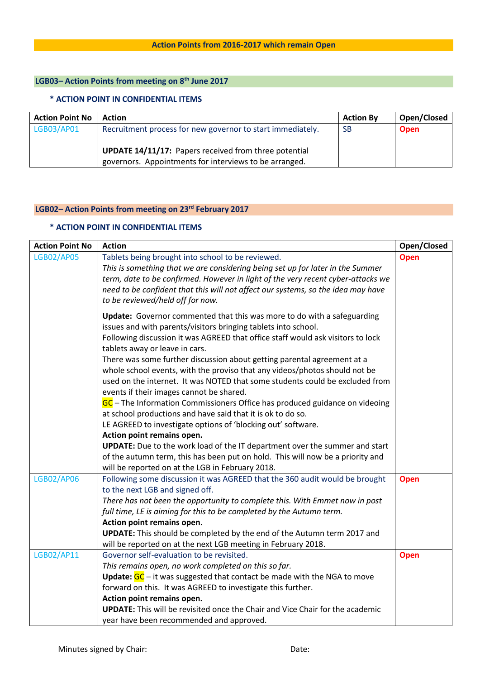## **LGB03– Action Points from meeting on 8th June 2017**

#### **\* ACTION POINT IN CONFIDENTIAL ITEMS**

| <b>Action Point No</b> | <b>Action</b>                                                                                                          | <b>Action By</b> | Open/Closed |
|------------------------|------------------------------------------------------------------------------------------------------------------------|------------------|-------------|
| LGB03/AP01             | Recruitment process for new governor to start immediately.                                                             | -SB              | <b>Open</b> |
|                        | <b>UPDATE 14/11/17:</b> Papers received from three potential<br>governors. Appointments for interviews to be arranged. |                  |             |

## **LGB02– Action Points from meeting on 23rd February 2017**

### **\* ACTION POINT IN CONFIDENTIAL ITEMS**

| <b>Action Point No</b> | <b>Action</b>                                                                                                      | Open/Closed |
|------------------------|--------------------------------------------------------------------------------------------------------------------|-------------|
| <b>LGB02/AP05</b>      | Tablets being brought into school to be reviewed.                                                                  | <b>Open</b> |
|                        | This is something that we are considering being set up for later in the Summer                                     |             |
|                        | term, date to be confirmed. However in light of the very recent cyber-attacks we                                   |             |
|                        | need to be confident that this will not affect our systems, so the idea may have                                   |             |
|                        | to be reviewed/held off for now.                                                                                   |             |
|                        | Update: Governor commented that this was more to do with a safeguarding                                            |             |
|                        | issues and with parents/visitors bringing tablets into school.                                                     |             |
|                        | Following discussion it was AGREED that office staff would ask visitors to lock                                    |             |
|                        | tablets away or leave in cars.                                                                                     |             |
|                        | There was some further discussion about getting parental agreement at a                                            |             |
|                        | whole school events, with the proviso that any videos/photos should not be                                         |             |
|                        | used on the internet. It was NOTED that some students could be excluded from                                       |             |
|                        | events if their images cannot be shared.                                                                           |             |
|                        | GC – The Information Commissioners Office has produced guidance on videoing                                        |             |
|                        | at school productions and have said that it is ok to do so.                                                        |             |
|                        | LE AGREED to investigate options of 'blocking out' software.                                                       |             |
|                        | Action point remains open.                                                                                         |             |
|                        | <b>UPDATE:</b> Due to the work load of the IT department over the summer and start                                 |             |
|                        | of the autumn term, this has been put on hold. This will now be a priority and                                     |             |
|                        | will be reported on at the LGB in February 2018.                                                                   |             |
| <b>LGB02/AP06</b>      | Following some discussion it was AGREED that the 360 audit would be brought                                        | <b>Open</b> |
|                        | to the next LGB and signed off.                                                                                    |             |
|                        | There has not been the opportunity to complete this. With Emmet now in post                                        |             |
|                        | full time, LE is aiming for this to be completed by the Autumn term.                                               |             |
|                        | Action point remains open.                                                                                         |             |
|                        | UPDATE: This should be completed by the end of the Autumn term 2017 and                                            |             |
|                        | will be reported on at the next LGB meeting in February 2018.                                                      |             |
| LGB02/AP11             | Governor self-evaluation to be revisited.                                                                          | <b>Open</b> |
|                        | This remains open, no work completed on this so far.                                                               |             |
|                        | <b>Update:</b> $GC$ – it was suggested that contact be made with the NGA to move                                   |             |
|                        | forward on this. It was AGREED to investigate this further.                                                        |             |
|                        | Action point remains open.<br><b>UPDATE:</b> This will be revisited once the Chair and Vice Chair for the academic |             |
|                        |                                                                                                                    |             |
|                        | year have been recommended and approved.                                                                           |             |